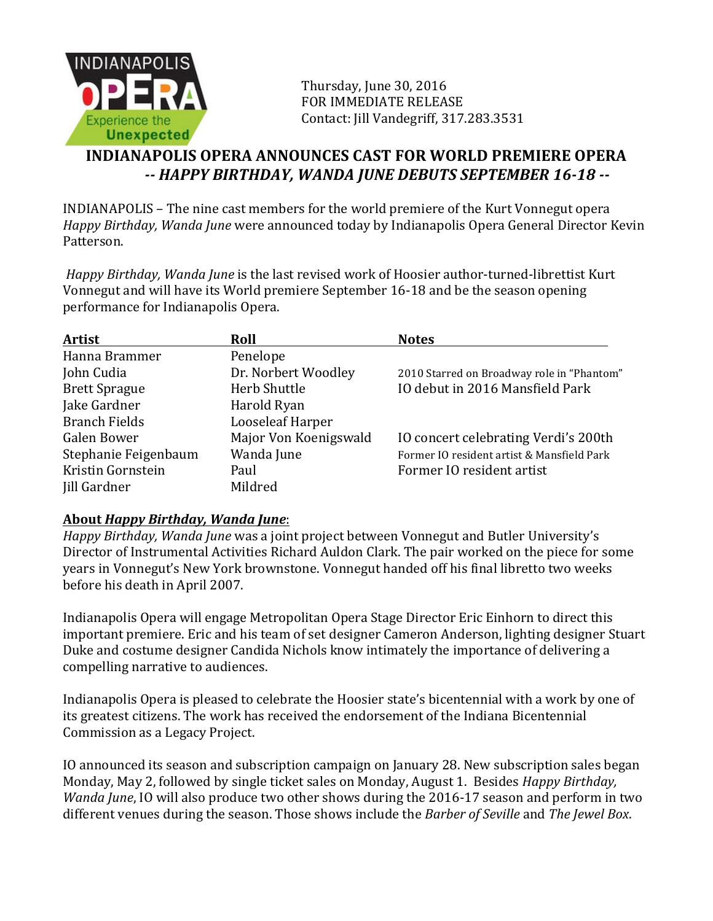

Thursday, June 30, 2016 FOR IMMEDIATE RELEASE Contact: Jill Vandegriff, 317.283.3531

## **INDIANAPOLIS OPERA ANNOUNCES CAST FOR WORLD PREMIERE OPERA** *-- HAPPY BIRTHDAY, WANDA JUNE DEBUTS SEPTEMBER 16-18 --*

INDIANAPOLIS – The nine cast members for the world premiere of the Kurt Vonnegut opera *Happy Birthday, Wanda June* were announced today by Indianapolis Opera General Director Kevin Patterson.

*Happy Birthday, Wanda June* is the last revised work of Hoosier author-turned-librettist Kurt Vonnegut and will have its World premiere September 16-18 and be the season opening performance for Indianapolis Opera.

| <b>Artist</b>        | Roll                  | <b>Notes</b>                               |
|----------------------|-----------------------|--------------------------------------------|
| Hanna Brammer        | Penelope              |                                            |
| John Cudia           | Dr. Norbert Woodley   | 2010 Starred on Broadway role in "Phantom" |
| <b>Brett Sprague</b> | Herb Shuttle          | IO debut in 2016 Mansfield Park            |
| Jake Gardner         | Harold Ryan           |                                            |
| <b>Branch Fields</b> | Looseleaf Harper      |                                            |
| Galen Bower          | Major Von Koenigswald | IO concert celebrating Verdi's 200th       |
| Stephanie Feigenbaum | Wanda June            | Former IO resident artist & Mansfield Park |
| Kristin Gornstein    | Paul                  | Former IO resident artist                  |
| <b>Jill Gardner</b>  | Mildred               |                                            |

## **About** *Happy Birthday, Wanda June*:

*Happy Birthday, Wanda June* was a joint project between Vonnegut and Butler University's Director of Instrumental Activities Richard Auldon Clark. The pair worked on the piece for some years in Vonnegut's New York brownstone. Vonnegut handed off his final libretto two weeks before his death in April 2007.

Indianapolis Opera will engage Metropolitan Opera Stage Director Eric Einhorn to direct this important premiere. Eric and his team of set designer Cameron Anderson, lighting designer Stuart Duke and costume designer Candida Nichols know intimately the importance of delivering a compelling narrative to audiences.

Indianapolis Opera is pleased to celebrate the Hoosier state's bicentennial with a work by one of its greatest citizens. The work has received the endorsement of the Indiana Bicentennial Commission as a Legacy Project.

IO announced its season and subscription campaign on January 28. New subscription sales began Monday, May 2, followed by single ticket sales on Monday, August 1. Besides *Happy Birthday*, *Wanda June*, IO will also produce two other shows during the 2016-17 season and perform in two different venues during the season. Those shows include the *Barber of Seville* and The Jewel Box.